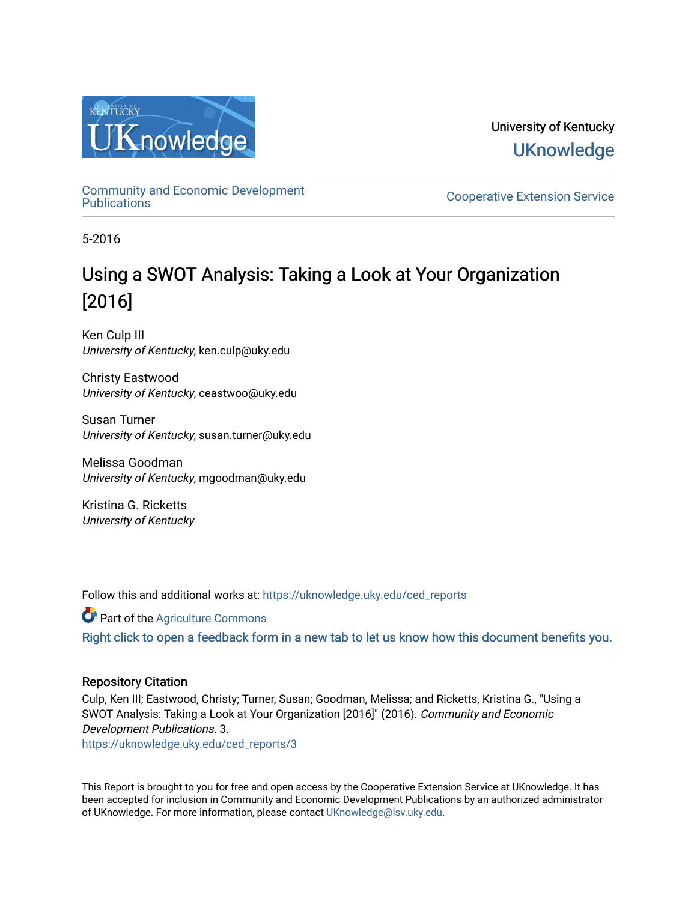

University of Kentucky **UKnowledge** 

[Community and Economic Development](https://uknowledge.uky.edu/ced_reports) 

**Cooperative Extension Service** 

5-2016

# Using a SWOT Analysis: Taking a Look at Your Organization [2016]

Ken Culp III University of Kentucky, ken.culp@uky.edu

Christy Eastwood University of Kentucky, ceastwoo@uky.edu

Susan Turner University of Kentucky, susan.turner@uky.edu

Melissa Goodman University of Kentucky, mgoodman@uky.edu

Kristina G. Ricketts University of Kentucky

Follow this and additional works at: [https://uknowledge.uky.edu/ced\\_reports](https://uknowledge.uky.edu/ced_reports?utm_source=uknowledge.uky.edu%2Fced_reports%2F3&utm_medium=PDF&utm_campaign=PDFCoverPages)

Part of the [Agriculture Commons](http://network.bepress.com/hgg/discipline/1076?utm_source=uknowledge.uky.edu%2Fced_reports%2F3&utm_medium=PDF&utm_campaign=PDFCoverPages) [Right click to open a feedback form in a new tab to let us know how this document benefits you.](https://uky.az1.qualtrics.com/jfe/form/SV_9mq8fx2GnONRfz7)

## Repository Citation

Culp, Ken III; Eastwood, Christy; Turner, Susan; Goodman, Melissa; and Ricketts, Kristina G., "Using a SWOT Analysis: Taking a Look at Your Organization [2016]" (2016). Community and Economic Development Publications. 3.

[https://uknowledge.uky.edu/ced\\_reports/3](https://uknowledge.uky.edu/ced_reports/3?utm_source=uknowledge.uky.edu%2Fced_reports%2F3&utm_medium=PDF&utm_campaign=PDFCoverPages) 

This Report is brought to you for free and open access by the Cooperative Extension Service at UKnowledge. It has been accepted for inclusion in Community and Economic Development Publications by an authorized administrator of UKnowledge. For more information, please contact [UKnowledge@lsv.uky.edu.](mailto:UKnowledge@lsv.uky.edu)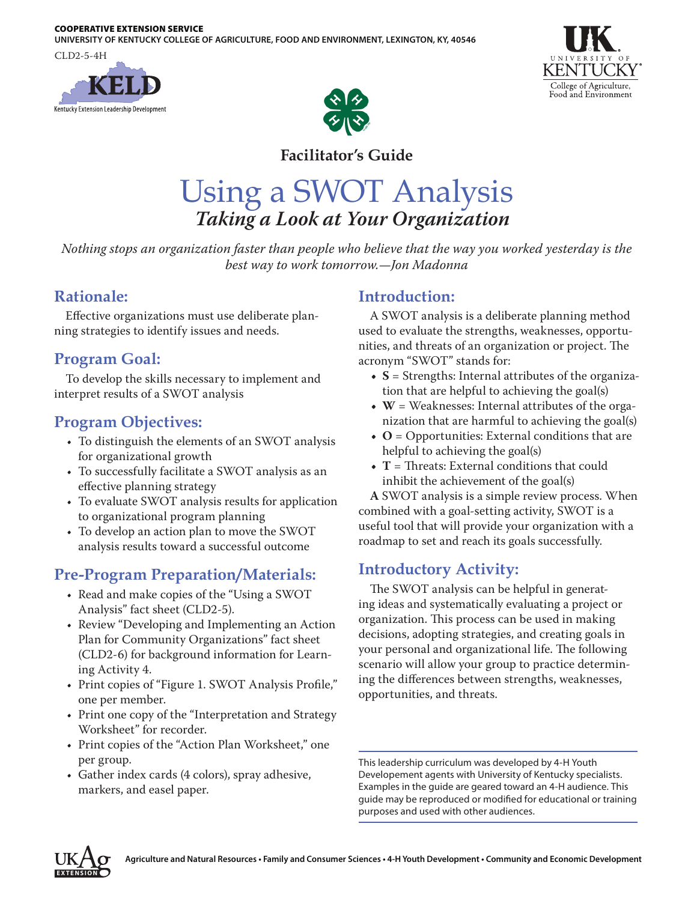#### COOPERATIVE EXTENSION SERVICE

**UNIVERSITY OF KENTUCKY COLLEGE OF AGRICULTURE, FOOD AND ENVIRONMENT, LEXINGTON, KY, 40546**

CLD2-5-4H







# **Facilitator's Guide**

# Using a SWOT Analysis *Taking a Look at Your Organization*

*Nothing stops an organization faster than people who believe that the way you worked yesterday is the best way to work tomorrow.—Jon Madonna*

# **Rationale:**

Effective organizations must use deliberate planning strategies to identify issues and needs.

# **Program Goal:**

To develop the skills necessary to implement and interpret results of a SWOT analysis

# **Program Objectives:**

- To distinguish the elements of an SWOT analysis for organizational growth
- To successfully facilitate a SWOT analysis as an effective planning strategy
- To evaluate SWOT analysis results for application to organizational program planning
- To develop an action plan to move the SWOT analysis results toward a successful outcome

# **Pre-Program Preparation/Materials:**

- Read and make copies of the "Using a SWOT Analysis" fact sheet (CLD2-5).
- Review "Developing and Implementing an Action Plan for Community Organizations" fact sheet (CLD2-6) for background information for Learning Activity 4.
- Print copies of "Figure 1. SWOT Analysis Profile," one per member.
- Print one copy of the "Interpretation and Strategy Worksheet" for recorder.
- Print copies of the "Action Plan Worksheet," one per group.
- Gather index cards (4 colors), spray adhesive, markers, and easel paper.

# **Introduction:**

A SWOT analysis is a deliberate planning method used to evaluate the strengths, weaknesses, opportunities, and threats of an organization or project. The acronym "SWOT" stands for:

- **• S** = Strengths: Internal attributes of the organization that are helpful to achieving the goal(s)
- **• W** = Weaknesses: Internal attributes of the organization that are harmful to achieving the goal(s)
- **• O** = Opportunities: External conditions that are helpful to achieving the goal(s)
- **• T** = Threats: External conditions that could inhibit the achievement of the goal(s)

**A** SWOT analysis is a simple review process. When combined with a goal-setting activity, SWOT is a useful tool that will provide your organization with a roadmap to set and reach its goals successfully.

# **Introductory Activity:**

The SWOT analysis can be helpful in generating ideas and systematically evaluating a project or organization. This process can be used in making decisions, adopting strategies, and creating goals in your personal and organizational life. The following scenario will allow your group to practice determining the differences between strengths, weaknesses, opportunities, and threats.

This leadership curriculum was developed by 4-H Youth Developement agents with University of Kentucky specialists. Examples in the guide are geared toward an 4-H audience. This guide may be reproduced or modified for educational or training purposes and used with other audiences.

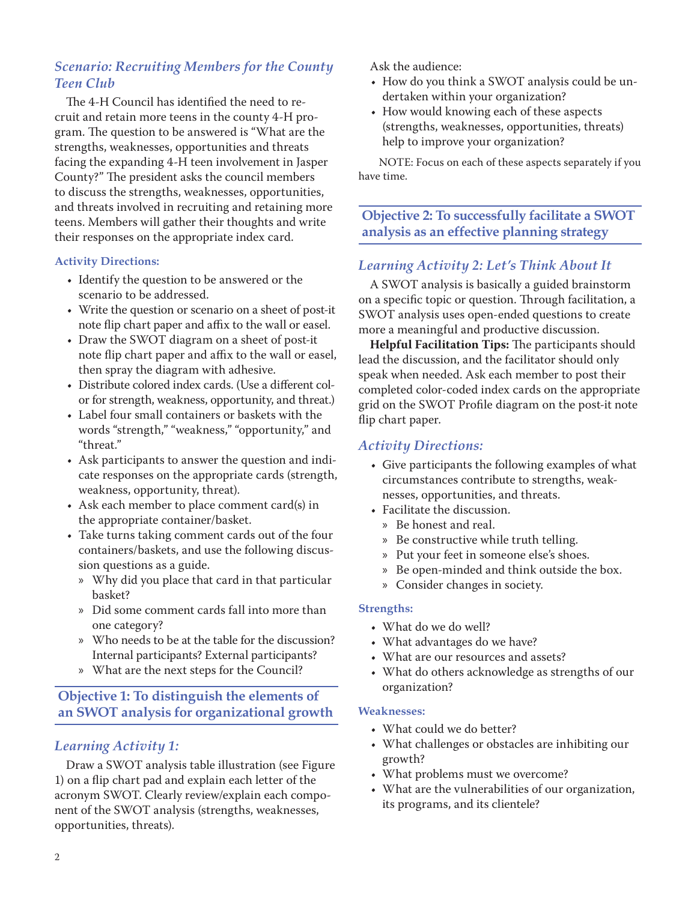## *Scenario: Recruiting Members for the County Teen Club*

The 4-H Council has identified the need to recruit and retain more teens in the county 4-H program. The question to be answered is "What are the strengths, weaknesses, opportunities and threats facing the expanding 4-H teen involvement in Jasper County?" The president asks the council members to discuss the strengths, weaknesses, opportunities, and threats involved in recruiting and retaining more teens. Members will gather their thoughts and write their responses on the appropriate index card.

#### **Activity Directions:**

- Identify the question to be answered or the scenario to be addressed.
- Write the question or scenario on a sheet of post-it note flip chart paper and affix to the wall or easel.
- Draw the SWOT diagram on a sheet of post-it note flip chart paper and affix to the wall or easel, then spray the diagram with adhesive.
- Distribute colored index cards. (Use a different color for strength, weakness, opportunity, and threat.)
- Label four small containers or baskets with the words "strength," "weakness," "opportunity," and "threat."
- Ask participants to answer the question and indicate responses on the appropriate cards (strength, weakness, opportunity, threat).
- Ask each member to place comment card(s) in the appropriate container/basket.
- Take turns taking comment cards out of the four containers/baskets, and use the following discussion questions as a guide.
	- » Why did you place that card in that particular basket?
	- » Did some comment cards fall into more than one category?
	- » Who needs to be at the table for the discussion? Internal participants? External participants?
	- » What are the next steps for the Council?

## **Objective 1: To distinguish the elements of an SWOT analysis for organizational growth**

## *Learning Activity 1:*

Draw a SWOT analysis table illustration (see Figure 1) on a flip chart pad and explain each letter of the acronym SWOT. Clearly review/explain each component of the SWOT analysis (strengths, weaknesses, opportunities, threats).

Ask the audience:

- How do you think a SWOT analysis could be undertaken within your organization?
- How would knowing each of these aspects (strengths, weaknesses, opportunities, threats) help to improve your organization?

NOTE: Focus on each of these aspects separately if you have time.

**Objective 2: To successfully facilitate a SWOT analysis as an effective planning strategy**

## *Learning Activity 2: Let's Think About It*

A SWOT analysis is basically a guided brainstorm on a specific topic or question. Through facilitation, a SWOT analysis uses open-ended questions to create more a meaningful and productive discussion.

**Helpful Facilitation Tips:** The participants should lead the discussion, and the facilitator should only speak when needed. Ask each member to post their completed color-coded index cards on the appropriate grid on the SWOT Profile diagram on the post-it note flip chart paper.

### *Activity Directions:*

- Give participants the following examples of what circumstances contribute to strengths, weaknesses, opportunities, and threats.
- Facilitate the discussion.
	- » Be honest and real.
	- » Be constructive while truth telling.
	- » Put your feet in someone else's shoes.
	- » Be open-minded and think outside the box.
	- » Consider changes in society.

#### **Strengths:**

- What do we do well?
- What advantages do we have?
- What are our resources and assets?
- What do others acknowledge as strengths of our organization?

#### **Weaknesses:**

- What could we do better?
- What challenges or obstacles are inhibiting our growth?
- What problems must we overcome?
- What are the vulnerabilities of our organization, its programs, and its clientele?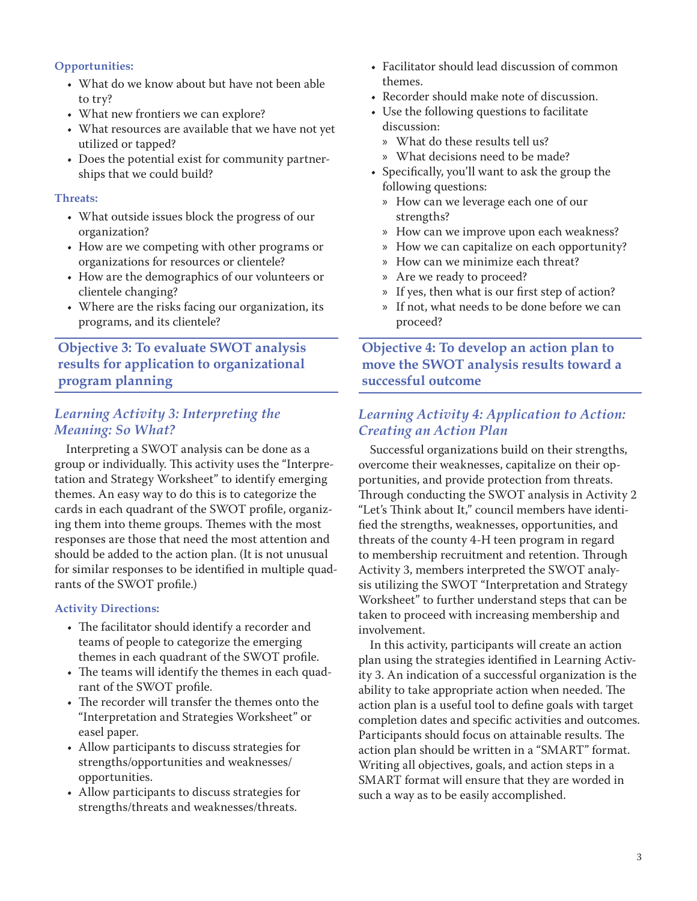#### **Opportunities:**

- What do we know about but have not been able to try?
- What new frontiers we can explore?
- What resources are available that we have not yet utilized or tapped?
- Does the potential exist for community partnerships that we could build?

#### **Threats:**

- What outside issues block the progress of our organization?
- How are we competing with other programs or organizations for resources or clientele?
- How are the demographics of our volunteers or clientele changing?
- Where are the risks facing our organization, its programs, and its clientele?

## **Objective 3: To evaluate SWOT analysis results for application to organizational program planning**

## *Learning Activity 3: Interpreting the Meaning: So What?*

Interpreting a SWOT analysis can be done as a group or individually. This activity uses the "Interpretation and Strategy Worksheet" to identify emerging themes. An easy way to do this is to categorize the cards in each quadrant of the SWOT profile, organizing them into theme groups. Themes with the most responses are those that need the most attention and should be added to the action plan. (It is not unusual for similar responses to be identified in multiple quadrants of the SWOT profile.)

#### **Activity Directions:**

- The facilitator should identify a recorder and teams of people to categorize the emerging themes in each quadrant of the SWOT profile.
- The teams will identify the themes in each quadrant of the SWOT profile.
- The recorder will transfer the themes onto the "Interpretation and Strategies Worksheet" or easel paper.
- Allow participants to discuss strategies for strengths/opportunities and weaknesses/ opportunities.
- Allow participants to discuss strategies for strengths/threats and weaknesses/threats.
- Facilitator should lead discussion of common themes.
- Recorder should make note of discussion.
- Use the following questions to facilitate discussion:
	- » What do these results tell us?
	- » What decisions need to be made?
- Specifically, you'll want to ask the group the following questions:
	- » How can we leverage each one of our strengths?
	- » How can we improve upon each weakness?
	- » How we can capitalize on each opportunity?
	- » How can we minimize each threat?
	- » Are we ready to proceed?
	- » If yes, then what is our first step of action?
	- » If not, what needs to be done before we can proceed?

**Objective 4: To develop an action plan to move the SWOT analysis results toward a successful outcome**

### *Learning Activity 4: Application to Action: Creating an Action Plan*

Successful organizations build on their strengths, overcome their weaknesses, capitalize on their opportunities, and provide protection from threats. Through conducting the SWOT analysis in Activity 2 "Let's Think about It," council members have identified the strengths, weaknesses, opportunities, and threats of the county 4-H teen program in regard to membership recruitment and retention. Through Activity 3, members interpreted the SWOT analysis utilizing the SWOT "Interpretation and Strategy Worksheet" to further understand steps that can be taken to proceed with increasing membership and involvement.

In this activity, participants will create an action plan using the strategies identified in Learning Activity 3. An indication of a successful organization is the ability to take appropriate action when needed. The action plan is a useful tool to define goals with target completion dates and specific activities and outcomes. Participants should focus on attainable results. The action plan should be written in a "SMART" format. Writing all objectives, goals, and action steps in a SMART format will ensure that they are worded in such a way as to be easily accomplished.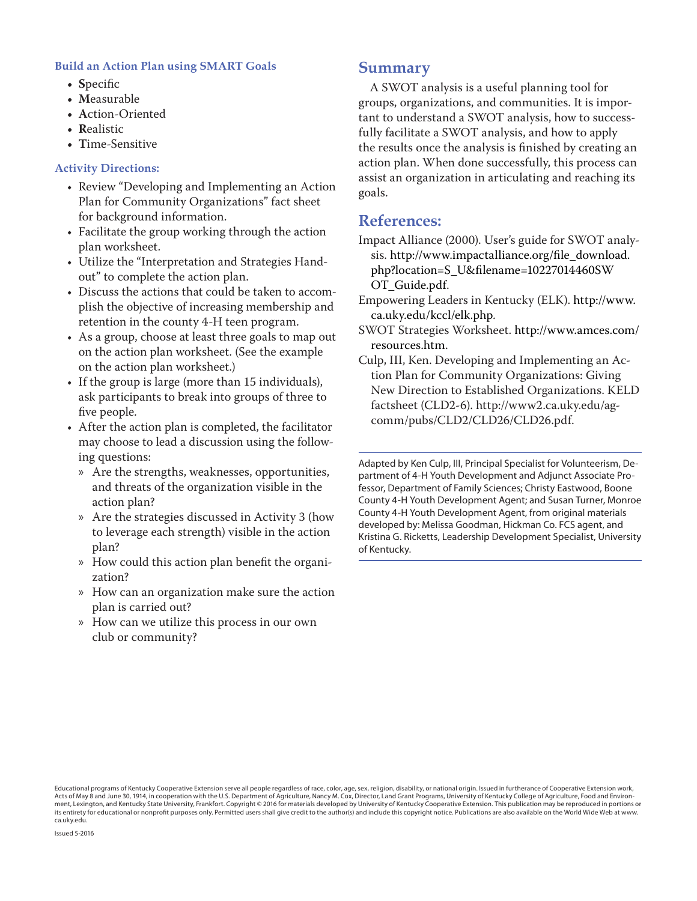#### **Build an Action Plan using SMART Goals**

- **• S**pecific
- **• M**easurable
- **• A**ction-Oriented
- **• R**ealistic
- **• T**ime-Sensitive

#### **Activity Directions:**

- Review "Developing and Implementing an Action Plan for Community Organizations" fact sheet for background information.
- Facilitate the group working through the action plan worksheet.
- Utilize the "Interpretation and Strategies Handout" to complete the action plan.
- Discuss the actions that could be taken to accomplish the objective of increasing membership and retention in the county 4-H teen program.
- As a group, choose at least three goals to map out on the action plan worksheet. (See the example on the action plan worksheet.)
- If the group is large (more than 15 individuals), ask participants to break into groups of three to five people.
- After the action plan is completed, the facilitator may choose to lead a discussion using the following questions:
	- » Are the strengths, weaknesses, opportunities, and threats of the organization visible in the action plan?
	- » Are the strategies discussed in Activity 3 (how to leverage each strength) visible in the action plan?
	- » How could this action plan benefit the organization?
	- » How can an organization make sure the action plan is carried out?
	- » How can we utilize this process in our own club or community?

## **Summary**

A SWOT analysis is a useful planning tool for groups, organizations, and communities. It is important to understand a SWOT analysis, how to successfully facilitate a SWOT analysis, and how to apply the results once the analysis is finished by creating an action plan. When done successfully, this process can assist an organization in articulating and reaching its goals.

## **References:**

Impact Alliance (2000). User's guide for SWOT analysis. [http://www.impactalliance.org/file\\_download.](http://www.impactalliance.org/file_download.php?location=S_U&filename=10227014460SWOT_Guide.pdf) [php?location=S\\_U&filename=10227014460SW](http://www.impactalliance.org/file_download.php?location=S_U&filename=10227014460SWOT_Guide.pdf) [OT\\_Guide.pdf](http://www.impactalliance.org/file_download.php?location=S_U&filename=10227014460SWOT_Guide.pdf).

- Empowering Leaders in Kentucky (ELK). [http://www.](http://www.ca.uky.edu/kccl/elk.php) [ca.uky.edu/kccl/elk.php](http://www.ca.uky.edu/kccl/elk.php).
- SWOT Strategies Worksheet. [http://www.amces.com/](http://www.amces.com/resources.htm) [resources.htm](http://www.amces.com/resources.htm).
- Culp, III, Ken. Developing and Implementing an Action Plan for Community Organizations: Giving New Direction to Established Organizations. KELD factsheet (CLD2-6). http://www2.ca.uky.edu/agcomm/pubs/CLD2/CLD26/CLD26.pdf.

Adapted by Ken Culp, III, Principal Specialist for Volunteerism, Department of 4-H Youth Development and Adjunct Associate Professor, Department of Family Sciences; Christy Eastwood, Boone County 4-H Youth Development Agent; and Susan Turner, Monroe County 4-H Youth Development Agent, from original materials developed by: Melissa Goodman, Hickman Co. FCS agent, and Kristina G. Ricketts, Leadership Development Specialist, University of Kentucky.

Educational programs of Kentucky Cooperative Extension serve all people regardless of race, color, age, sex, religion, disability, or national origin. Issued in furtherance of Cooperative Extension work,<br>Acts of May 8 and ment, Lexington, and Kentucky State University, Frankfort. Copyright © 2016 for materials developed by University of Kentucky Cooperative Extension. This publication may be reproduced in portions or its entirety for educational or nonprofit purposes only. Permitted users shall give credit to the author(s) and include this copyright notice. Publications are also available on the World Wide Web at www. ca.uky.edu.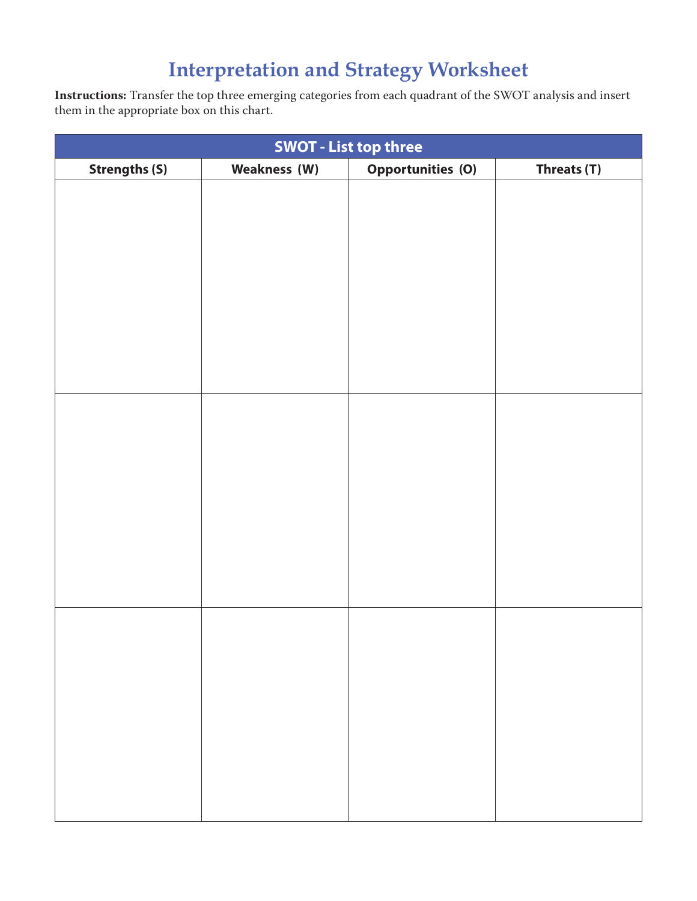# **Interpretation and Strategy Worksheet**

**Instructions:** Transfer the top three emerging categories from each quadrant of the SWOT analysis and insert them in the appropriate box on this chart.

| <b>SWOT - List top three</b> |                     |                          |             |  |  |  |
|------------------------------|---------------------|--------------------------|-------------|--|--|--|
| <b>Strengths (S)</b>         | <b>Weakness (W)</b> | <b>Opportunities (O)</b> | Threats (T) |  |  |  |
|                              |                     |                          |             |  |  |  |
|                              |                     |                          |             |  |  |  |
|                              |                     |                          |             |  |  |  |
|                              |                     |                          |             |  |  |  |
|                              |                     |                          |             |  |  |  |
|                              |                     |                          |             |  |  |  |
|                              |                     |                          |             |  |  |  |
|                              |                     |                          |             |  |  |  |
|                              |                     |                          |             |  |  |  |
|                              |                     |                          |             |  |  |  |
|                              |                     |                          |             |  |  |  |
|                              |                     |                          |             |  |  |  |
|                              |                     |                          |             |  |  |  |
|                              |                     |                          |             |  |  |  |
|                              |                     |                          |             |  |  |  |
|                              |                     |                          |             |  |  |  |
|                              |                     |                          |             |  |  |  |
|                              |                     |                          |             |  |  |  |
|                              |                     |                          |             |  |  |  |
|                              |                     |                          |             |  |  |  |
|                              |                     |                          |             |  |  |  |
|                              |                     |                          |             |  |  |  |
|                              |                     |                          |             |  |  |  |
|                              |                     |                          |             |  |  |  |
|                              |                     |                          |             |  |  |  |
|                              |                     |                          |             |  |  |  |
|                              |                     |                          |             |  |  |  |
|                              |                     |                          |             |  |  |  |